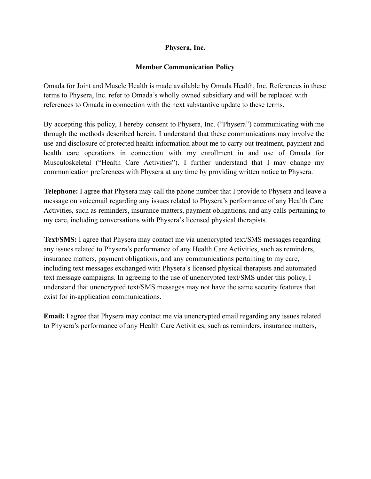## **Physera, Inc.**

## **Member Communication Policy**

Omada for Joint and Muscle Health is made available by Omada Health, Inc. References in these terms to Physera, Inc. refer to Omada's wholly owned subsidiary and will be replaced with references to Omada in connection with the next substantive update to these terms.

By accepting this policy, I hereby consent to Physera, Inc. ("Physera") communicating with me through the methods described herein. I understand that these communications may involve the use and disclosure of protected health information about me to carry out treatment, payment and health care operations in connection with my enrollment in and use of Omada for Musculoskeletal ("Health Care Activities"). I further understand that I may change my communication preferences with Physera at any time by providing written notice to Physera.

**Telephone:** I agree that Physera may call the phone number that I provide to Physera and leave a message on voicemail regarding any issues related to Physera's performance of any Health Care Activities, such as reminders, insurance matters, payment obligations, and any calls pertaining to my care, including conversations with Physera's licensed physical therapists.

**Text/SMS:** I agree that Physera may contact me via unencrypted text/SMS messages regarding any issues related to Physera's performance of any Health Care Activities, such as reminders, insurance matters, payment obligations, and any communications pertaining to my care, including text messages exchanged with Physera's licensed physical therapists and automated text message campaigns. In agreeing to the use of unencrypted text/SMS under this policy, I understand that unencrypted text/SMS messages may not have the same security features that exist for in-application communications.

**Email:** I agree that Physera may contact me via unencrypted email regarding any issues related to Physera's performance of any Health Care Activities, such as reminders, insurance matters,